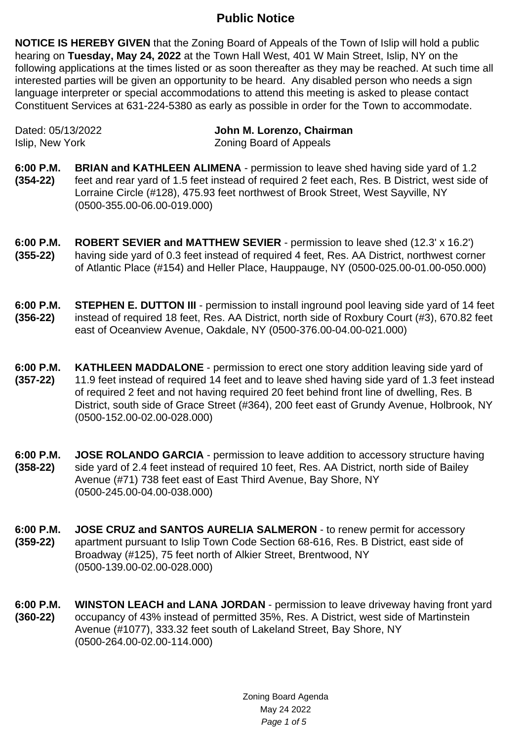## **Public Notice**

**NOTICE IS HEREBY GIVEN** that the Zoning Board of Appeals of the Town of Islip will hold a public hearing on **Tuesday, May 24, 2022** at the Town Hall West, 401 W Main Street, Islip, NY on the following applications at the times listed or as soon thereafter as they may be reached. At such time all interested parties will be given an opportunity to be heard. Any disabled person who needs a sign language interpreter or special accommodations to attend this meeting is asked to please contact Constituent Services at 631-224-5380 as early as possible in order for the Town to accommodate.

| Dated: 05/13/2022 | John M. Lorenzo, Chairman      |
|-------------------|--------------------------------|
| Islip, New York   | <b>Zoning Board of Appeals</b> |

- **6:00 P.M. (354-22) BRIAN and KATHLEEN ALIMENA** - permission to leave shed having side yard of 1.2 feet and rear yard of 1.5 feet instead of required 2 feet each, Res. B District, west side of Lorraine Circle (#128), 475.93 feet northwest of Brook Street, West Sayville, NY (0500-355.00-06.00-019.000)
- **6:00 P.M. (355-22) ROBERT SEVIER and MATTHEW SEVIER** - permission to leave shed (12.3' x 16.2') having side vard of 0.3 feet instead of required 4 feet. Res. AA District, northwest corner of Atlantic Place (#154) and Heller Place, Hauppauge, NY (0500-025.00-01.00-050.000)
- **6:00 P.M. (356-22) STEPHEN E. DUTTON III** - permission to install inground pool leaving side yard of 14 feet instead of required 18 feet, Res. AA District, north side of Roxbury Court (#3), 670.82 feet east of Oceanview Avenue, Oakdale, NY (0500-376.00-04.00-021.000)
- **6:00 P.M. (357-22) KATHLEEN MADDALONE** - permission to erect one story addition leaving side yard of 11.9 feet instead of required 14 feet and to leave shed having side yard of 1.3 feet instead of required 2 feet and not having required 20 feet behind front line of dwelling, Res. B District, south side of Grace Street (#364), 200 feet east of Grundy Avenue, Holbrook, NY (0500-152.00-02.00-028.000)
- **6:00 P.M. (358-22) JOSE ROLANDO GARCIA** - permission to leave addition to accessory structure having side yard of 2.4 feet instead of required 10 feet, Res. AA District, north side of Bailey Avenue (#71) 738 feet east of East Third Avenue, Bay Shore, NY (0500-245.00-04.00-038.000)
- **6:00 P.M. (359-22) JOSE CRUZ and SANTOS AURELIA SALMERON** - to renew permit for accessory apartment pursuant to Islip Town Code Section 68-616, Res. B District, east side of Broadway (#125), 75 feet north of Alkier Street, Brentwood, NY (0500-139.00-02.00-028.000)
- **6:00 P.M. (360-22) WINSTON LEACH and LANA JORDAN** - permission to leave driveway having front yard occupancy of 43% instead of permitted 35%, Res. A District, west side of Martinstein Avenue (#1077), 333.32 feet south of Lakeland Street, Bay Shore, NY (0500-264.00-02.00-114.000)

Zoning Board Agenda May 24 2022 Page 1 of 5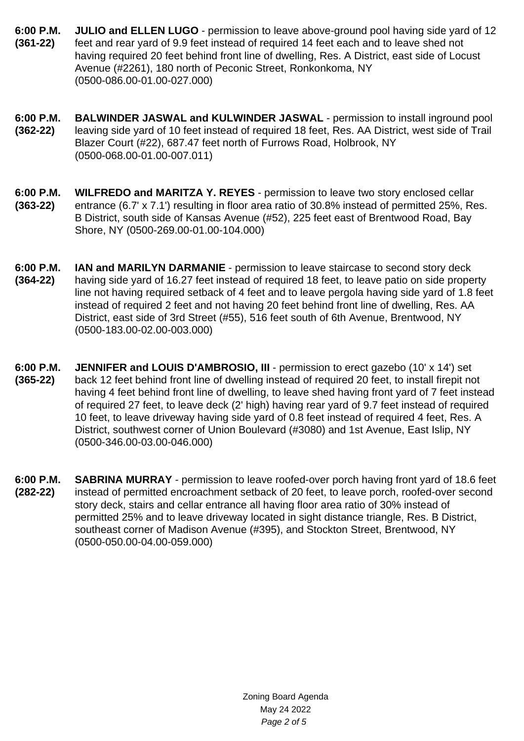- **6:00 P.M. (361-22) JULIO and ELLEN LUGO** - permission to leave above-ground pool having side yard of 12 feet and rear yard of 9.9 feet instead of required 14 feet each and to leave shed not having required 20 feet behind front line of dwelling, Res. A District, east side of Locust Avenue (#2261), 180 north of Peconic Street, Ronkonkoma, NY (0500-086.00-01.00-027.000)
- **6:00 P.M. (362-22) BALWINDER JASWAL and KULWINDER JASWAL** - permission to install inground pool leaving side yard of 10 feet instead of required 18 feet, Res. AA District, west side of Trail Blazer Court (#22), 687.47 feet north of Furrows Road, Holbrook, NY (0500-068.00-01.00-007.011)
- **6:00 P.M. (363-22) WILFREDO and MARITZA Y. REYES** - permission to leave two story enclosed cellar entrance (6.7' x 7.1') resulting in floor area ratio of 30.8% instead of permitted 25%, Res. B District, south side of Kansas Avenue (#52), 225 feet east of Brentwood Road, Bay Shore, NY (0500-269.00-01.00-104.000)
- **6:00 P.M. (364-22) IAN and MARILYN DARMANIE** - permission to leave staircase to second story deck having side yard of 16.27 feet instead of required 18 feet, to leave patio on side property line not having required setback of 4 feet and to leave pergola having side yard of 1.8 feet instead of required 2 feet and not having 20 feet behind front line of dwelling, Res. AA District, east side of 3rd Street (#55), 516 feet south of 6th Avenue, Brentwood, NY (0500-183.00-02.00-003.000)
- **6:00 P.M. (365-22) JENNIFER and LOUIS D'AMBROSIO, III** - permission to erect gazebo (10' x 14') set back 12 feet behind front line of dwelling instead of required 20 feet, to install firepit not having 4 feet behind front line of dwelling, to leave shed having front yard of 7 feet instead of required 27 feet, to leave deck (2' high) having rear yard of 9.7 feet instead of required 10 feet, to leave driveway having side yard of 0.8 feet instead of required 4 feet, Res. A District, southwest corner of Union Boulevard (#3080) and 1st Avenue, East Islip, NY (0500-346.00-03.00-046.000)
- **6:00 P.M. (282-22) SABRINA MURRAY** - permission to leave roofed-over porch having front yard of 18.6 feet instead of permitted encroachment setback of 20 feet, to leave porch, roofed-over second story deck, stairs and cellar entrance all having floor area ratio of 30% instead of permitted 25% and to leave driveway located in sight distance triangle, Res. B District, southeast corner of Madison Avenue (#395), and Stockton Street, Brentwood, NY (0500-050.00-04.00-059.000)

Zoning Board Agenda May 24 2022 Page 2 of 5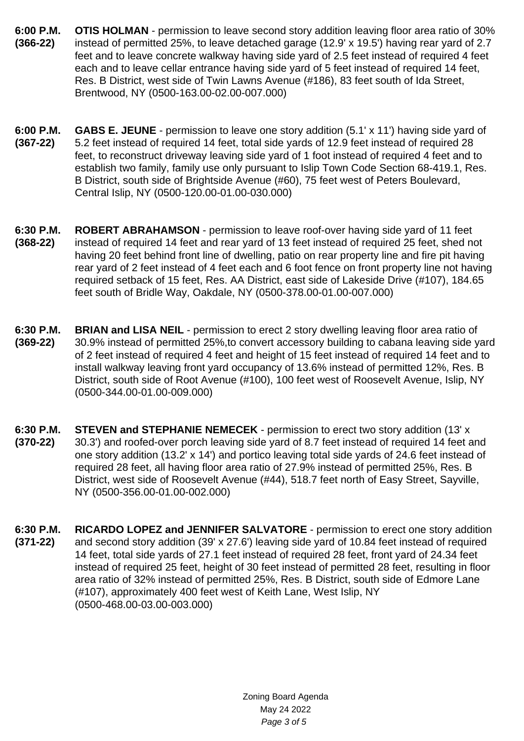- **6:00 P.M. (366-22) OTIS HOLMAN** - permission to leave second story addition leaving floor area ratio of 30% instead of permitted 25%, to leave detached garage (12.9' x 19.5') having rear yard of 2.7 feet and to leave concrete walkway having side yard of 2.5 feet instead of required 4 feet each and to leave cellar entrance having side yard of 5 feet instead of required 14 feet, Res. B District, west side of Twin Lawns Avenue (#186), 83 feet south of Ida Street, Brentwood, NY (0500-163.00-02.00-007.000)
- **6:00 P.M. (367-22) GABS E. JEUNE** - permission to leave one story addition (5.1' x 11') having side yard of 5.2 feet instead of required 14 feet, total side yards of 12.9 feet instead of required 28 feet, to reconstruct driveway leaving side yard of 1 foot instead of required 4 feet and to establish two family, family use only pursuant to Islip Town Code Section 68-419.1, Res. B District, south side of Brightside Avenue (#60), 75 feet west of Peters Boulevard, Central Islip, NY (0500-120.00-01.00-030.000)
- **6:30 P.M. (368-22) ROBERT ABRAHAMSON** - permission to leave roof-over having side yard of 11 feet instead of required 14 feet and rear yard of 13 feet instead of required 25 feet, shed not having 20 feet behind front line of dwelling, patio on rear property line and fire pit having rear yard of 2 feet instead of 4 feet each and 6 foot fence on front property line not having required setback of 15 feet, Res. AA District, east side of Lakeside Drive (#107), 184.65 feet south of Bridle Way, Oakdale, NY (0500-378.00-01.00-007.000)
- **6:30 P.M. (369-22) BRIAN and LISA NEIL** - permission to erect 2 story dwelling leaving floor area ratio of 30.9% instead of permitted 25%,to convert accessory building to cabana leaving side yard of 2 feet instead of required 4 feet and height of 15 feet instead of required 14 feet and to install walkway leaving front yard occupancy of 13.6% instead of permitted 12%, Res. B District, south side of Root Avenue (#100), 100 feet west of Roosevelt Avenue, Islip, NY (0500-344.00-01.00-009.000)
- **6:30 P.M. (370-22) STEVEN and STEPHANIE NEMECEK** - permission to erect two story addition (13' x 30.3') and roofed-over porch leaving side yard of 8.7 feet instead of required 14 feet and one story addition (13.2' x 14') and portico leaving total side yards of 24.6 feet instead of required 28 feet, all having floor area ratio of 27.9% instead of permitted 25%, Res. B District, west side of Roosevelt Avenue (#44), 518.7 feet north of Easy Street, Sayville, NY (0500-356.00-01.00-002.000)
- **6:30 P.M. (371-22) RICARDO LOPEZ and JENNIFER SALVATORE** - permission to erect one story addition and second story addition (39' x 27.6') leaving side yard of 10.84 feet instead of required 14 feet, total side yards of 27.1 feet instead of required 28 feet, front yard of 24.34 feet instead of required 25 feet, height of 30 feet instead of permitted 28 feet, resulting in floor area ratio of 32% instead of permitted 25%, Res. B District, south side of Edmore Lane (#107), approximately 400 feet west of Keith Lane, West Islip, NY (0500-468.00-03.00-003.000)

Zoning Board Agenda May 24 2022 Page 3 of 5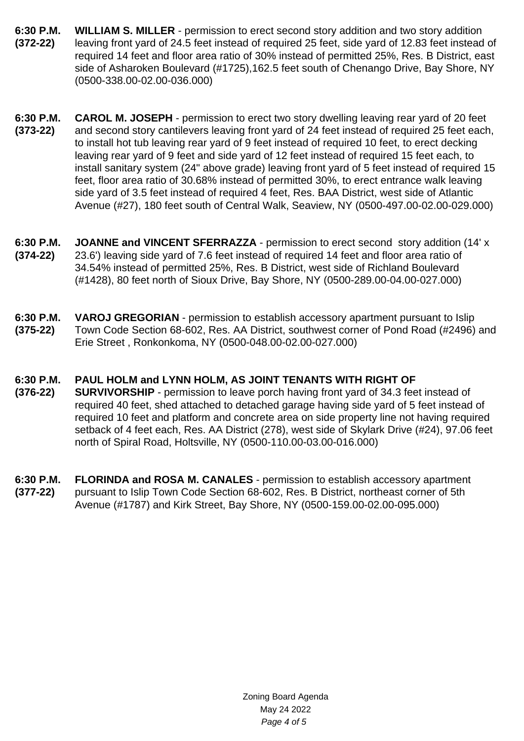- **6:30 P.M. (372-22) WILLIAM S. MILLER** - permission to erect second story addition and two story addition leaving front yard of 24.5 feet instead of required 25 feet, side yard of 12.83 feet instead of required 14 feet and floor area ratio of 30% instead of permitted 25%, Res. B District, east side of Asharoken Boulevard (#1725),162.5 feet south of Chenango Drive, Bay Shore, NY (0500-338.00-02.00-036.000)
- **6:30 P.M. (373-22) CAROL M. JOSEPH** - permission to erect two story dwelling leaving rear yard of 20 feet and second story cantilevers leaving front yard of 24 feet instead of required 25 feet each, to install hot tub leaving rear yard of 9 feet instead of required 10 feet, to erect decking leaving rear yard of 9 feet and side yard of 12 feet instead of required 15 feet each, to install sanitary system (24" above grade) leaving front yard of 5 feet instead of required 15 feet, floor area ratio of 30.68% instead of permitted 30%, to erect entrance walk leaving side yard of 3.5 feet instead of required 4 feet, Res. BAA District, west side of Atlantic Avenue (#27), 180 feet south of Central Walk, Seaview, NY (0500-497.00-02.00-029.000)
- **6:30 P.M. (374-22) JOANNE and VINCENT SFERRAZZA** - permission to erect second story addition (14' x 23.6') leaving side yard of 7.6 feet instead of required 14 feet and floor area ratio of 34.54% instead of permitted 25%, Res. B District, west side of Richland Boulevard (#1428), 80 feet north of Sioux Drive, Bay Shore, NY (0500-289.00-04.00-027.000)
- **6:30 P.M. (375-22) VAROJ GREGORIAN** - permission to establish accessory apartment pursuant to Islip Town Code Section 68-602, Res. AA District, southwest corner of Pond Road (#2496) and Erie Street , Ronkonkoma, NY (0500-048.00-02.00-027.000)

## **6:30 P.M. PAUL HOLM and LYNN HOLM, AS JOINT TENANTS WITH RIGHT OF**

- **(376-22) SURVIVORSHIP** - permission to leave porch having front yard of 34.3 feet instead of required 40 feet, shed attached to detached garage having side yard of 5 feet instead of required 10 feet and platform and concrete area on side property line not having required setback of 4 feet each, Res. AA District (278), west side of Skylark Drive (#24), 97.06 feet north of Spiral Road, Holtsville, NY (0500-110.00-03.00-016.000)
- **6:30 P.M. (377-22) FLORINDA and ROSA M. CANALES** - permission to establish accessory apartment pursuant to Islip Town Code Section 68-602, Res. B District, northeast corner of 5th Avenue (#1787) and Kirk Street, Bay Shore, NY (0500-159.00-02.00-095.000)